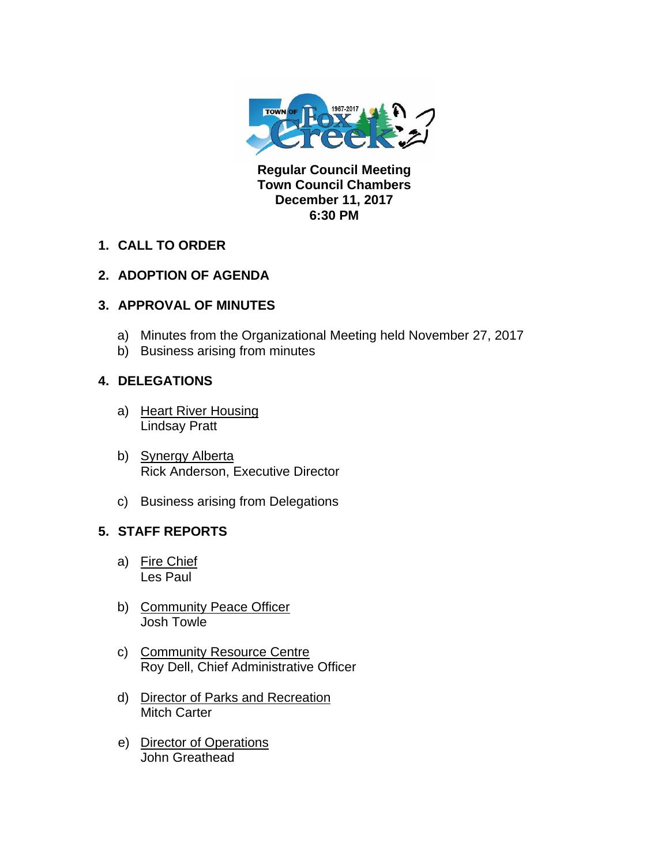

**Regular Council Meeting Town Council Chambers December 11, 2017 6:30 PM** 

**1. CALL TO ORDER** 

# **2. ADOPTION OF AGENDA**

# **3. APPROVAL OF MINUTES**

- a) Minutes from the Organizational Meeting held November 27, 2017
- b) Business arising from minutes

### **4. DELEGATIONS**

- a) Heart River Housing Lindsay Pratt
- b) Synergy Alberta Rick Anderson, Executive Director
- c) Business arising from Delegations

### **5. STAFF REPORTS**

- a) Fire Chief Les Paul
- b) Community Peace Officer Josh Towle
- c) Community Resource Centre Roy Dell, Chief Administrative Officer
- d) Director of Parks and Recreation Mitch Carter
- e) Director of Operations John Greathead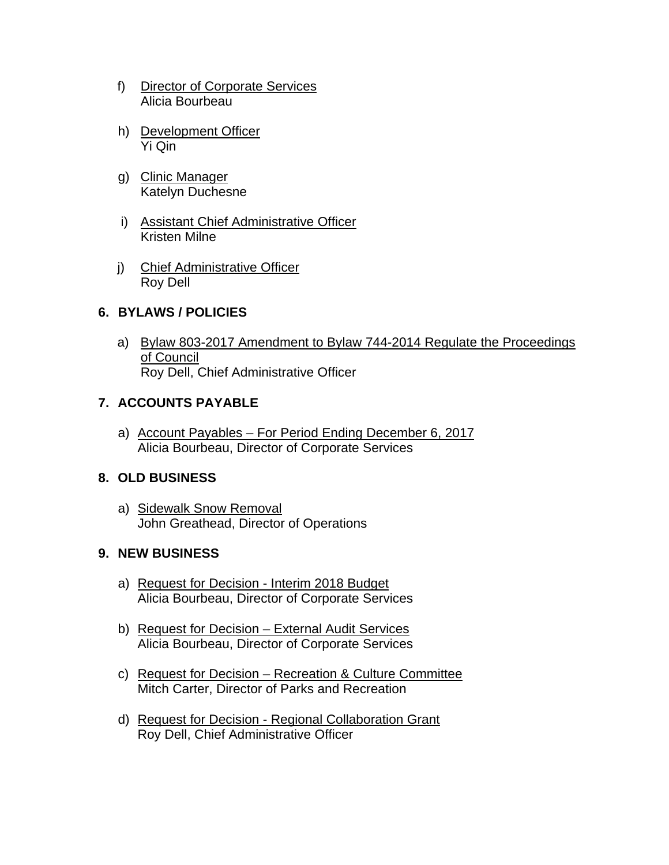- f) Director of Corporate Services Alicia Bourbeau
- h) Development Officer Yi Qin
- g) Clinic Manager Katelyn Duchesne
- i) Assistant Chief Administrative Officer Kristen Milne
- j) Chief Administrative Officer Roy Dell

### **6. BYLAWS / POLICIES**

a) Bylaw 803-2017 Amendment to Bylaw 744-2014 Regulate the Proceedings of Council Roy Dell, Chief Administrative Officer

# **7. ACCOUNTS PAYABLE**

a) Account Payables – For Period Ending December 6, 2017 Alicia Bourbeau, Director of Corporate Services

### **8. OLD BUSINESS**

a) Sidewalk Snow Removal John Greathead, Director of Operations

### **9. NEW BUSINESS**

- a) Request for Decision Interim 2018 Budget Alicia Bourbeau, Director of Corporate Services
- b) Request for Decision External Audit Services Alicia Bourbeau, Director of Corporate Services
- c) Request for Decision Recreation & Culture Committee Mitch Carter, Director of Parks and Recreation
- d) Request for Decision Regional Collaboration Grant Roy Dell, Chief Administrative Officer